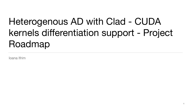# Heterogenous AD with Clad - CUDA kernels differentiation support - Project Roadmap

Ioana Ifrim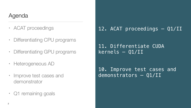## Agenda

#### 12. ACAT proceedings — Q1/II

10. Improve test cases and demonstrators — Q1/II



11. Differentiate CUDA kernels — Q1/II

- ACAT proceedings
- Differentiating CPU programs
- Differentiating GPU programs
- Heterogeneous AD
- Improve test cases and demonstrator
- Q1 remaining goals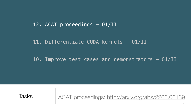### 12. ACAT proceedings — Q1/II

### 11. Differentiate CUDA kernels — Q1/II

### 10. Improve test cases and demonstrators — Q1/II



## Tasks ACAT proceedings: <http://arxiv.org/abs/2203.06139>

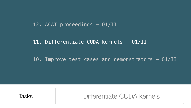## Tasks Differentiate CUDA kernels

## 12. ACAT proceedings — Q1/II

### 11. Differentiate CUDA kernels — Q1/II

### 10. Improve test cases and demonstrators — Q1/II



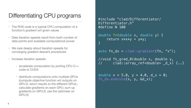## Differentiating CPU programs

- The RHS code is a typical CPU computation of a function's gradient wrt given values
- Data iteration speeds result from both number of data points and available computational power
- We care deeply about iteration speeds for converging gradient descent procedures
- Increase iteration speeds:
	- accelerate computation by porting CPU C++ code to CUDA
	- distribute computations onto multiple GPUs (compute objective function wrt outputs on GPU:0; return results to the different GPUs.; calculate gradients on each GPU; sum up gradients on GPU:0; use the optimiser on GPU:0)

double  $x = 5.0$ ,  $y = 4.0$ ,  $d_x = 0;$ fn\_dx.execute(x, y, &d\_x);



```
#include "clad/Differentiator/
Differentiator.h"
#define N 100
```
double fn(double x, double y) { return x\*x\*y + y\*y; }

auto fn\_dx = clad::gradient(fn, "x");

//void fn\_grad\_0(double x, double y, // clad::array\_ref<double> \_d\_x) {..}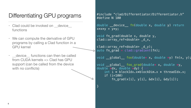clad::array\_ref<double> \_d\_y); auto  $fn_{q}rad = clad::gradient(fn);$ 

#include "clad/Differentiator/Differentiator.h" #define N 100

double \_\_device\_\_ fn(double x, double y) return x\*x\*y + y\*y;

void fn\_grad(double x, double y, clad::array\_ref<double> \_d\_x,

void \_\_global\_\_ foo\_grad(double\* x, double \*y, double \*dx, double \*dy) {**int**

 int i **=** blockIdx.x**\***blockDim.x **+** threadIdx.x; if (i<100)

 $fn_{g}rad(x[i], y[i], \& dx[i], \& dy[i]);$ 







}

void  $q$ lobal foo(double\* x, double \*y) fn(x, y);

## Differentiating GPU programs

- Clad could be invoked on \_\_device functions
- We can compute the derivative of GPU programs by calling a Clad function in a GPU kernel
- device functions can then be called from CUDA kernels => Clad has GPU support (can be called from the device with no conflicts)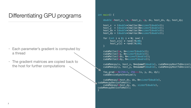- Each parameter's gradient is computed by a thread
- The gradient matrices are copied back to the host for further computations

#### int main() {

```
 double *host_x, *x, *host_y, *y, dx, host_dx, dy, host_dy;
    host x = (double*)malloc(N\astsizeof(double));
     host_y = (double*)malloc(N*sizeof(double));
     host_dx = (double*)malloc(N*sizeof(double));
     host_dy = (double*)malloc(N*sizeof(double));
     for (int i = 0; i < N; i++) {
          host_x[i] = rand()%100;
          host_y[i] = rand()%100;
 }
     cudaMalloc(&x, N*sizeof(double));
     cudaMalloc(&y, N*sizeof(double));
     cudaMalloc(&dx, N*sizeof(double));
     cudaMalloc(&dy, N*sizeof(double));
     cudaMemcpy(x, host_x, N*sizeof(double), cudaMemcpyHostToDevice);
     cudaMemcpy(y, host_y, N*sizeof(double), cudaMemcpyHostToDevice);
    \boxed{\text{foo\_grad}\ll\ll1/256+1}, 256>>>(x, y, dx, dy);
     cudaDeviceSynchronize();
     cudaMemcpy(&host_dx, dx, N*sizeof(double), 
cudaMemcpyDeviceToHost);
     cudaMemcpy(&host_dy, dy, sizeof(double), 
cudaMemcpyDeviceToHost);
```
}

## Differentiating GPU programs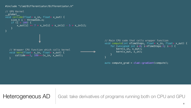#include "clad/Differentiator/Differentiator.h"

```
// GPU Kernel
__global__ 
void collide(float* x_in, float* x_out) {
    size_t i = threadIdx.x;
     if (i < 100) {
        x_out[i] += 7 * x_in[i] * x_in[i] - 5 * x_in[i]; }
}
  // Wrapper CPU function which calls kernel
  void kern(float* x_in, float* x_out) {
        collide<<<1, 100>>>(x_in, x_out);
   }
```
#### Heterogeneous AD | Goal: take derivatives of programs running both on CPU and GPU

```
// Main CPU code that calls wrapper function
void compute(int nTimeSteps, float* x_in, float* x_out) {
     for (unsigned int i=0; i<nTimeSteps/2; i++) {
         kern(x_in, x_out);
        kern(x_out, x_in); }
}
auto compute_grad = clad::gradient(compute);
```
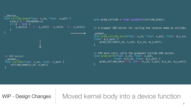auto grad\_collide = **clad::gradient**(collide\_body);

```
\overline{\rule{0pt}{6pt}}global\overline{\rule{0pt}{6pt}}void grad_collide_kern(float* x_in, float* x_out, float* d_x_in,
float* d_x_out) {
      grad_collide(x_in, x_out, d_x_in, d_x_out);
}
```
// A wrapper GPU kernel for calling the reverse mode on collide.

```
// GPU Kernel
\_global\_void collide(float* x_in, float* x_out) {
     collide_body(x_in, x_out);
}
__device__
void collide_body(float* x_in, float* x_out) {
    size_t i = threadIdx.x;
     if (i < 100) {
        x_out[i] += 7 * x_in[i] * x_in[i] - 5 * x_in[i]; }
}
```
## WIP - Design Changes | Moved kernel body into a device function

```
// CPU kern call; calls the gradient collide GPU kernel.
void grad_kern(float* x_in, float* x_out,
              \lceil float* d_x_in, float* d_x_out) {
     grad_collide_kern<<<1, 100>>>(x_in, x_out, d_x_in, d_x_out);
}
```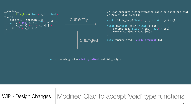```
auto compute_grad = clad::gradient(collide_body);
```

```
\frac{312C}{1}, \frac{1}{100}, \frac{1}{100}, \frac{1}{100}, \frac{1}{100}, \frac{1}{100}, \frac{1}{100}, \frac{1}{100}, \frac{1}{100}, \frac{1}{100}, \frac{1}{100}, \frac{1}{100}, \frac{1}{100}, \frac{1}{100}, \frac{1}{100}, \frac{1}{100}, \frac{1}{100},
 float another_x_in;
f(x) = \begin{pmatrix} 1 & 1 & 1 \\ 1 & 1 & 1 \\ 1 & 1 & 1 \end{pmatrix}\bigwedgecurrently
                                                                                                           changes
   device
void collide_body(float* x_in, float*
x_out) {
size_t i = threadIdx.x; if (i < 100) {
                x_ out[i] += 7 * x_in[i] *x_{\text{min}}[i] - 5 * x_{\text{min}}[i]; }
}
```

```
// Clad supports differentiating calls to functions that
// Return void like so:
void collide_body(float* x_in, float* x_out) {}
float fn(float* x_in, float* x_out) {
    collide_body(float* x_in, float* x_out);
     return x_in[99]+ x_out[99];
}
auto compute_grad = clad::gradient(fn);
```


## Modified Clad to accept `void` type functions



WIP - Design Changes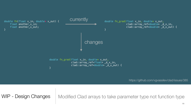#### double fn(float x\_in, double\* x\_out) { float another\_x\_in; float another\_x\_out; }



changes

double fn\_grad(float x\_in, double\* x\_out, clad::array\_ref<float> d\_x\_in, clad::array\_ref<double> \_d\_x\_out) {

}

Modified Clad arrays to take parameter type not function type





https://github.com/vgvassilev/clad/issues/385

11

WIP - Design Changes

**Currently**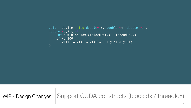void \_\_device\_\_ foo(double\* x, double \*y, double \*dx, int i **=** blockIdx.x**\***blockDim.x **+** threadIdx.x;

 $x[i]$  +=  $x[i]$  \*  $x[i]$  \* 3 +  $y[i]$  \*  $y[I]$ ;

## Support CUDA constructs (blockIdx / threadIdx)

```
double *dy) {int
     if (i<100) 
}
```


WIP - Design Changes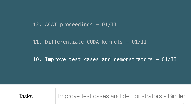## 12. ACAT proceedings — Q1/II

### 11. Differentiate CUDA kernels — Q1/II

### 10. Improve test cases and demonstrators — Q1/II



## Tasks Improve test cases and demonstrators - [Binder](https://mybinder.org/v2/gh/vgvassilev/clad/master?labpath=/demos/Jupyter/Intro.ipynb)